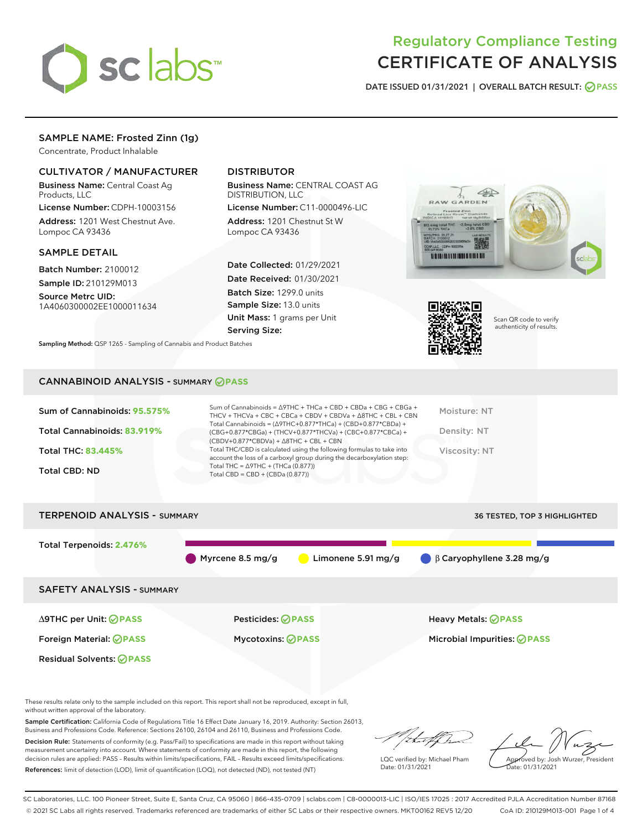

# Regulatory Compliance Testing CERTIFICATE OF ANALYSIS

DATE ISSUED 01/31/2021 | OVERALL BATCH RESULT: @ PASS

# SAMPLE NAME: Frosted Zinn (1g)

Concentrate, Product Inhalable

## CULTIVATOR / MANUFACTURER

Business Name: Central Coast Ag Products, LLC

License Number: CDPH-10003156 Address: 1201 West Chestnut Ave. Lompoc CA 93436

### SAMPLE DETAIL

Batch Number: 2100012 Sample ID: 210129M013

Source Metrc UID: 1A4060300002EE1000011634

# DISTRIBUTOR

Business Name: CENTRAL COAST AG DISTRIBUTION, LLC

License Number: C11-0000496-LIC Address: 1201 Chestnut St W Lompoc CA 93436

Date Collected: 01/29/2021 Date Received: 01/30/2021 Batch Size: 1299.0 units Sample Size: 13.0 units Unit Mass: 1 grams per Unit Serving Size:





Scan QR code to verify authenticity of results.

Sampling Method: QSP 1265 - Sampling of Cannabis and Product Batches

## CANNABINOID ANALYSIS - SUMMARY **PASS**

| Total THC/CBD is calculated using the following formulas to take into<br>Viscosity: NT<br><b>Total THC: 83,445%</b><br>account the loss of a carboxyl group during the decarboxylation step:<br>Total THC = $\triangle$ 9THC + (THCa (0.877))<br>Total CBD: ND<br>Total CBD = $CBD + (CBDa (0.877))$ |
|------------------------------------------------------------------------------------------------------------------------------------------------------------------------------------------------------------------------------------------------------------------------------------------------------|
|------------------------------------------------------------------------------------------------------------------------------------------------------------------------------------------------------------------------------------------------------------------------------------------------------|



These results relate only to the sample included on this report. This report shall not be reproduced, except in full, without written approval of the laboratory.

Sample Certification: California Code of Regulations Title 16 Effect Date January 16, 2019. Authority: Section 26013, Business and Professions Code. Reference: Sections 26100, 26104 and 26110, Business and Professions Code.

Decision Rule: Statements of conformity (e.g. Pass/Fail) to specifications are made in this report without taking measurement uncertainty into account. Where statements of conformity are made in this report, the following decision rules are applied: PASS – Results within limits/specifications, FAIL – Results exceed limits/specifications. References: limit of detection (LOD), limit of quantification (LOQ), not detected (ND), not tested (NT)

:Hatf Is

LQC verified by: Michael Pham Date: 01/31/2021

Approved by: Josh Wurzer, President ate: 01/31/2021

SC Laboratories, LLC. 100 Pioneer Street, Suite E, Santa Cruz, CA 95060 | 866-435-0709 | sclabs.com | C8-0000013-LIC | ISO/IES 17025 : 2017 Accredited PJLA Accreditation Number 87168 © 2021 SC Labs all rights reserved. Trademarks referenced are trademarks of either SC Labs or their respective owners. MKT00162 REV5 12/20 CoA ID: 210129M013-001 Page 1 of 4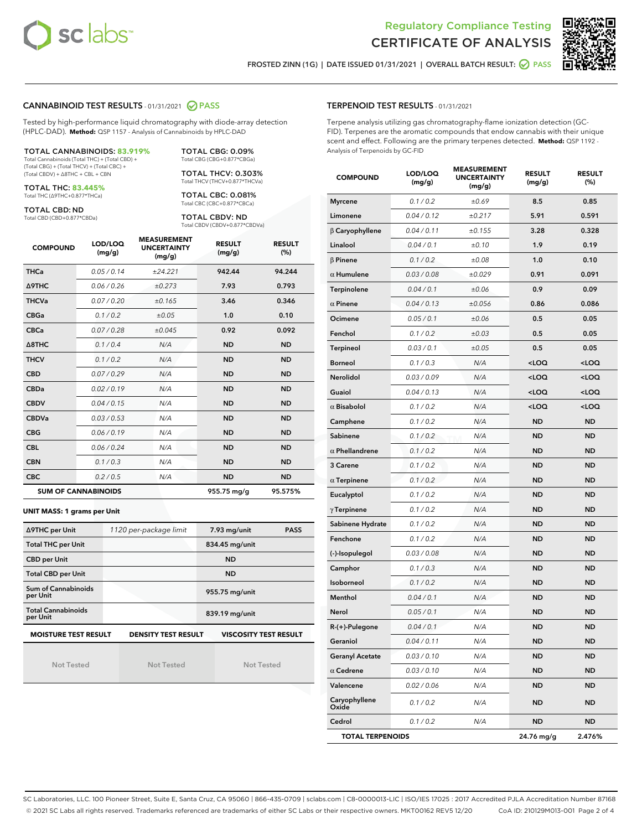



FROSTED ZINN (1G) | DATE ISSUED 01/31/2021 | OVERALL BATCH RESULT: @ PASS

### CANNABINOID TEST RESULTS - 01/31/2021 2 PASS

Tested by high-performance liquid chromatography with diode-array detection (HPLC-DAD). **Method:** QSP 1157 - Analysis of Cannabinoids by HPLC-DAD

| <b>TOTAL CANNABINOIDS: 83.919%</b>             |
|------------------------------------------------|
| Total Cannabinoids (Total THC) + (Total CBD) + |
| (Total CBG) + (Total THCV) + (Total CBC) +     |

(Total CBG) + (Total THCV) + (Total CBC) + (Total CBDV) + ∆8THC + CBL + CBN

TOTAL THC: **83.445%** Total THC (∆9THC+0.877\*THCa)

TOTAL CBD: ND

Total CBD (CBD+0.877\*CBDa)

Total CBG (CBG+0.877\*CBGa) TOTAL THCV: 0.303% Total THCV (THCV+0.877\*THCVa)

TOTAL CBG: 0.09%

TOTAL CBC: 0.081% Total CBC (CBC+0.877\*CBCa)

TOTAL CBDV: ND Total CBDV (CBDV+0.877\*CBDVa)

| <b>COMPOUND</b>  | LOD/LOQ<br>(mg/g)          | <b>MEASUREMENT</b><br><b>UNCERTAINTY</b><br>(mg/g) | <b>RESULT</b><br>(mg/g) | <b>RESULT</b><br>(%) |
|------------------|----------------------------|----------------------------------------------------|-------------------------|----------------------|
| <b>THCa</b>      | 0.05/0.14                  | ±24.221                                            | 942.44                  | 94.244               |
| Δ9THC            | 0.06 / 0.26                | ±0.273                                             | 7.93                    | 0.793                |
| <b>THCVa</b>     | 0.07 / 0.20                | ±0.165                                             | 3.46                    | 0.346                |
| <b>CBGa</b>      | 0.1/0.2                    | ±0.05                                              | 1.0                     | 0.10                 |
| <b>CBCa</b>      | 0.07/0.28                  | ±0.045                                             | 0.92                    | 0.092                |
| $\triangle$ 8THC | 0.1 / 0.4                  | N/A                                                | <b>ND</b>               | <b>ND</b>            |
| <b>THCV</b>      | 0.1/0.2                    | N/A                                                | <b>ND</b>               | <b>ND</b>            |
| <b>CBD</b>       | 0.07/0.29                  | N/A                                                | <b>ND</b>               | <b>ND</b>            |
| <b>CBDa</b>      | 0.02/0.19                  | N/A                                                | <b>ND</b>               | <b>ND</b>            |
| <b>CBDV</b>      | 0.04 / 0.15                | N/A                                                | <b>ND</b>               | <b>ND</b>            |
| <b>CBDVa</b>     | 0.03/0.53                  | N/A                                                | <b>ND</b>               | <b>ND</b>            |
| <b>CBG</b>       | 0.06/0.19                  | N/A                                                | <b>ND</b>               | <b>ND</b>            |
| <b>CBL</b>       | 0.06 / 0.24                | N/A                                                | <b>ND</b>               | <b>ND</b>            |
| <b>CBN</b>       | 0.1/0.3                    | N/A                                                | <b>ND</b>               | <b>ND</b>            |
| <b>CBC</b>       | 0.2 / 0.5                  | N/A                                                | <b>ND</b>               | <b>ND</b>            |
|                  | <b>SUM OF CANNABINOIDS</b> |                                                    | 955.75 mg/g             | 95.575%              |

#### **UNIT MASS: 1 grams per Unit**

| ∆9THC per Unit                                                                            | 1120 per-package limit | 7.93 mg/unit<br><b>PASS</b> |  |  |  |
|-------------------------------------------------------------------------------------------|------------------------|-----------------------------|--|--|--|
| <b>Total THC per Unit</b>                                                                 |                        | 834.45 mg/unit              |  |  |  |
| <b>CBD per Unit</b>                                                                       |                        | <b>ND</b>                   |  |  |  |
| <b>Total CBD per Unit</b>                                                                 |                        | <b>ND</b>                   |  |  |  |
| Sum of Cannabinoids<br>per Unit                                                           |                        | 955.75 mg/unit              |  |  |  |
| <b>Total Cannabinoids</b><br>per Unit                                                     |                        | 839.19 mg/unit              |  |  |  |
| <b>MOISTURE TEST RESULT</b><br><b>DENSITY TEST RESULT</b><br><b>VISCOSITY TEST RESULT</b> |                        |                             |  |  |  |

Not Tested

Not Tested

Not Tested

#### TERPENOID TEST RESULTS - 01/31/2021

Terpene analysis utilizing gas chromatography-flame ionization detection (GC-FID). Terpenes are the aromatic compounds that endow cannabis with their unique scent and effect. Following are the primary terpenes detected. **Method:** QSP 1192 - Analysis of Terpenoids by GC-FID

| <b>COMPOUND</b>         | LOD/LOQ<br>(mg/g) | <b>MEASUREMENT</b><br><b>UNCERTAINTY</b><br>(mg/g) | <b>RESULT</b><br>(mg/g)                         | <b>RESULT</b><br>$(\%)$ |
|-------------------------|-------------------|----------------------------------------------------|-------------------------------------------------|-------------------------|
| <b>Myrcene</b>          | 0.1 / 0.2         | ±0.69                                              | 8.5                                             | 0.85                    |
| Limonene                | 0.04 / 0.12       | ±0.217                                             | 5.91                                            | 0.591                   |
| $\beta$ Caryophyllene   | 0.04 / 0.11       | ±0.155                                             | 3.28                                            | 0.328                   |
| Linalool                | 0.04 / 0.1        | ±0.10                                              | 1.9                                             | 0.19                    |
| $\beta$ Pinene          | 0.1 / 0.2         | ±0.08                                              | 1.0                                             | 0.10                    |
| $\alpha$ Humulene       | 0.03 / 0.08       | ±0.029                                             | 0.91                                            | 0.091                   |
| Terpinolene             | 0.04 / 0.1        | ±0.06                                              | 0.9                                             | 0.09                    |
| $\alpha$ Pinene         | 0.04 / 0.13       | ±0.056                                             | 0.86                                            | 0.086                   |
| Ocimene                 | 0.05 / 0.1        | ±0.06                                              | 0.5                                             | 0.05                    |
| Fenchol                 | 0.1 / 0.2         | ±0.03                                              | 0.5                                             | 0.05                    |
| Terpineol               | 0.03 / 0.1        | ±0.05                                              | 0.5                                             | 0.05                    |
| <b>Borneol</b>          | 0.1 / 0.3         | N/A                                                | <loq< td=""><td><loq< td=""></loq<></td></loq<> | <loq< td=""></loq<>     |
| Nerolidol               | 0.03 / 0.09       | N/A                                                | <loq< td=""><td><loq< td=""></loq<></td></loq<> | <loq< td=""></loq<>     |
| Guaiol                  | 0.04 / 0.13       | N/A                                                | <loq< td=""><td><loq< td=""></loq<></td></loq<> | <loq< td=""></loq<>     |
| $\alpha$ Bisabolol      | 0.1 / 0.2         | N/A                                                | <loq< td=""><td><loq< td=""></loq<></td></loq<> | <loq< td=""></loq<>     |
| Camphene                | 0.1 / 0.2         | N/A                                                | <b>ND</b>                                       | <b>ND</b>               |
| Sabinene                | 0.1 / 0.2         | N/A                                                | <b>ND</b>                                       | <b>ND</b>               |
| $\alpha$ Phellandrene   | 0.1 / 0.2         | N/A                                                | <b>ND</b>                                       | <b>ND</b>               |
| 3 Carene                | 0.1 / 0.2         | N/A                                                | ND                                              | <b>ND</b>               |
| $\alpha$ Terpinene      | 0.1 / 0.2         | N/A                                                | <b>ND</b>                                       | <b>ND</b>               |
| Eucalyptol              | 0.1 / 0.2         | N/A                                                | <b>ND</b>                                       | <b>ND</b>               |
| $\gamma$ Terpinene      | 0.1 / 0.2         | N/A                                                | <b>ND</b>                                       | <b>ND</b>               |
| Sabinene Hydrate        | 0.1 / 0.2         | N/A                                                | <b>ND</b>                                       | <b>ND</b>               |
| Fenchone                | 0.1 / 0.2         | N/A                                                | <b>ND</b>                                       | <b>ND</b>               |
| (-)-Isopulegol          | 0.03 / 0.08       | N/A                                                | ND                                              | <b>ND</b>               |
| Camphor                 | 0.1 / 0.3         | N/A                                                | <b>ND</b>                                       | <b>ND</b>               |
| Isoborneol              | 0.1 / 0.2         | N/A                                                | ND                                              | <b>ND</b>               |
| Menthol                 | 0.04 / 0.1        | N/A                                                | ND                                              | <b>ND</b>               |
| Nerol                   | 0.05 / 0.1        | N/A                                                | <b>ND</b>                                       | <b>ND</b>               |
| R-(+)-Pulegone          | 0.04 / 0.1        | N/A                                                | ND                                              | <b>ND</b>               |
| Geraniol                | 0.04 / 0.11       | N/A                                                | ND                                              | ND                      |
| <b>Geranyl Acetate</b>  | 0.03 / 0.10       | N/A                                                | ND                                              | <b>ND</b>               |
| $\alpha$ Cedrene        | 0.03 / 0.10       | N/A                                                | ND                                              | ND                      |
| Valencene               | 0.02 / 0.06       | N/A                                                | ND                                              | ND                      |
| Caryophyllene<br>Oxide  | 0.1 / 0.2         | N/A                                                | ND                                              | <b>ND</b>               |
| Cedrol                  | 0.1 / 0.2         | N/A                                                | ND                                              | ND                      |
| <b>TOTAL TERPENOIDS</b> |                   |                                                    | 24.76 mg/g                                      | 2.476%                  |

SC Laboratories, LLC. 100 Pioneer Street, Suite E, Santa Cruz, CA 95060 | 866-435-0709 | sclabs.com | C8-0000013-LIC | ISO/IES 17025 : 2017 Accredited PJLA Accreditation Number 87168 © 2021 SC Labs all rights reserved. Trademarks referenced are trademarks of either SC Labs or their respective owners. MKT00162 REV5 12/20 CoA ID: 210129M013-001 Page 2 of 4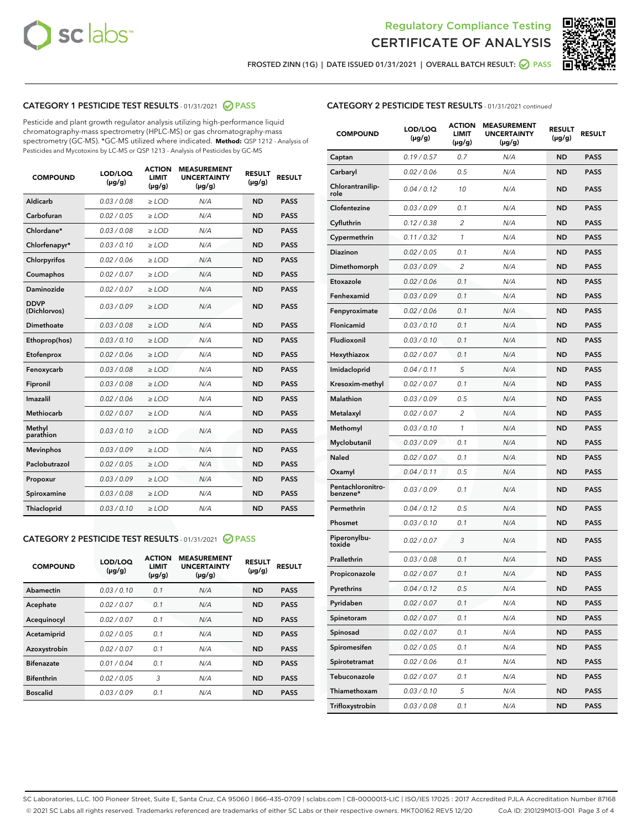



FROSTED ZINN (1G) | DATE ISSUED 01/31/2021 | OVERALL BATCH RESULT:  $\bigcirc$  PASS

## CATEGORY 1 PESTICIDE TEST RESULTS - 01/31/2021 2 PASS

Pesticide and plant growth regulator analysis utilizing high-performance liquid chromatography-mass spectrometry (HPLC-MS) or gas chromatography-mass spectrometry (GC-MS). \*GC-MS utilized where indicated. **Method:** QSP 1212 - Analysis of Pesticides and Mycotoxins by LC-MS or QSP 1213 - Analysis of Pesticides by GC-MS

| <b>COMPOUND</b>             | LOD/LOQ<br>$(\mu g/g)$ | <b>ACTION</b><br><b>LIMIT</b><br>$(\mu g/g)$ | <b>MEASUREMENT</b><br><b>UNCERTAINTY</b><br>$(\mu g/g)$ | <b>RESULT</b><br>$(\mu g/g)$ | <b>RESULT</b> |
|-----------------------------|------------------------|----------------------------------------------|---------------------------------------------------------|------------------------------|---------------|
| Aldicarb                    | 0.03 / 0.08            | $\ge$ LOD                                    | N/A                                                     | <b>ND</b>                    | <b>PASS</b>   |
| Carbofuran                  | 0.02/0.05              | $>$ LOD                                      | N/A                                                     | <b>ND</b>                    | <b>PASS</b>   |
| Chlordane*                  | 0.03 / 0.08            | $\ge$ LOD                                    | N/A                                                     | <b>ND</b>                    | <b>PASS</b>   |
| Chlorfenapyr*               | 0.03/0.10              | $\ge$ LOD                                    | N/A                                                     | <b>ND</b>                    | <b>PASS</b>   |
| Chlorpyrifos                | 0.02 / 0.06            | $\ge$ LOD                                    | N/A                                                     | <b>ND</b>                    | <b>PASS</b>   |
| Coumaphos                   | 0.02 / 0.07            | $\ge$ LOD                                    | N/A                                                     | <b>ND</b>                    | <b>PASS</b>   |
| <b>Daminozide</b>           | 0.02 / 0.07            | $\ge$ LOD                                    | N/A                                                     | <b>ND</b>                    | <b>PASS</b>   |
| <b>DDVP</b><br>(Dichlorvos) | 0.03/0.09              | $\ge$ LOD                                    | N/A                                                     | <b>ND</b>                    | <b>PASS</b>   |
| <b>Dimethoate</b>           | 0.03 / 0.08            | $\ge$ LOD                                    | N/A                                                     | <b>ND</b>                    | <b>PASS</b>   |
| Ethoprop(hos)               | 0.03/0.10              | $\ge$ LOD                                    | N/A                                                     | <b>ND</b>                    | <b>PASS</b>   |
| Etofenprox                  | 0.02 / 0.06            | $\ge$ LOD                                    | N/A                                                     | <b>ND</b>                    | <b>PASS</b>   |
| Fenoxycarb                  | 0.03/0.08              | $\ge$ LOD                                    | N/A                                                     | <b>ND</b>                    | <b>PASS</b>   |
| Fipronil                    | 0.03/0.08              | $\ge$ LOD                                    | N/A                                                     | <b>ND</b>                    | <b>PASS</b>   |
| Imazalil                    | 0.02 / 0.06            | $\ge$ LOD                                    | N/A                                                     | <b>ND</b>                    | <b>PASS</b>   |
| Methiocarb                  | 0.02 / 0.07            | $\ge$ LOD                                    | N/A                                                     | <b>ND</b>                    | <b>PASS</b>   |
| Methyl<br>parathion         | 0.03/0.10              | $\ge$ LOD                                    | N/A                                                     | <b>ND</b>                    | <b>PASS</b>   |
| <b>Mevinphos</b>            | 0.03/0.09              | $>$ LOD                                      | N/A                                                     | <b>ND</b>                    | <b>PASS</b>   |
| Paclobutrazol               | 0.02 / 0.05            | $\ge$ LOD                                    | N/A                                                     | <b>ND</b>                    | <b>PASS</b>   |
| Propoxur                    | 0.03/0.09              | $>$ LOD                                      | N/A                                                     | <b>ND</b>                    | <b>PASS</b>   |
| Spiroxamine                 | 0.03 / 0.08            | $\ge$ LOD                                    | N/A                                                     | <b>ND</b>                    | <b>PASS</b>   |
| Thiacloprid                 | 0.03/0.10              | $\ge$ LOD                                    | N/A                                                     | <b>ND</b>                    | <b>PASS</b>   |

### CATEGORY 2 PESTICIDE TEST RESULTS - 01/31/2021 @ PASS

| <b>COMPOUND</b>   | LOD/LOQ<br>$(\mu g/g)$ | <b>ACTION</b><br><b>LIMIT</b><br>$(\mu g/g)$ | <b>MEASUREMENT</b><br><b>UNCERTAINTY</b><br>$(\mu g/g)$ | <b>RESULT</b><br>$(\mu g/g)$ | <b>RESULT</b> |
|-------------------|------------------------|----------------------------------------------|---------------------------------------------------------|------------------------------|---------------|
| Abamectin         | 0.03/0.10              | 0.1                                          | N/A                                                     | <b>ND</b>                    | <b>PASS</b>   |
| Acephate          | 0.02/0.07              | 0.1                                          | N/A                                                     | <b>ND</b>                    | <b>PASS</b>   |
| Acequinocyl       | 0.02/0.07              | 0.1                                          | N/A                                                     | <b>ND</b>                    | <b>PASS</b>   |
| Acetamiprid       | 0.02/0.05              | 0.1                                          | N/A                                                     | <b>ND</b>                    | <b>PASS</b>   |
| Azoxystrobin      | 0.02/0.07              | 0.1                                          | N/A                                                     | <b>ND</b>                    | <b>PASS</b>   |
| <b>Bifenazate</b> | 0.01/0.04              | 0.1                                          | N/A                                                     | <b>ND</b>                    | <b>PASS</b>   |
| <b>Bifenthrin</b> | 0.02/0.05              | 3                                            | N/A                                                     | <b>ND</b>                    | <b>PASS</b>   |
| <b>Boscalid</b>   | 0.03/0.09              | 0.1                                          | N/A                                                     | <b>ND</b>                    | <b>PASS</b>   |

| <b>CATEGORY 2 PESTICIDE TEST RESULTS</b> - 01/31/2021 continued |
|-----------------------------------------------------------------|
|-----------------------------------------------------------------|

| <b>COMPOUND</b>               | <b>LOD/LOQ</b><br>$(\mu g/g)$ | <b>ACTION</b><br><b>LIMIT</b><br>$(\mu g/g)$ | <b>MEASUREMENT</b><br><b>UNCERTAINTY</b><br>(µg/g) | <b>RESULT</b><br>(µg/g) | <b>RESULT</b> |
|-------------------------------|-------------------------------|----------------------------------------------|----------------------------------------------------|-------------------------|---------------|
| Captan                        | 0.19/0.57                     | 0.7                                          | N/A                                                | <b>ND</b>               | <b>PASS</b>   |
| Carbaryl                      | 0.02 / 0.06                   | 0.5                                          | N/A                                                | ND                      | <b>PASS</b>   |
| Chlorantranilip-<br>role      | 0.04 / 0.12                   | 10                                           | N/A                                                | ND                      | <b>PASS</b>   |
| Clofentezine                  | 0.03/0.09                     | 0.1                                          | N/A                                                | ND                      | <b>PASS</b>   |
| Cyfluthrin                    | 0.12 / 0.38                   | 2                                            | N/A                                                | ND                      | <b>PASS</b>   |
| Cypermethrin                  | 0.11/0.32                     | 1                                            | N/A                                                | ND                      | <b>PASS</b>   |
| <b>Diazinon</b>               | 0.02 / 0.05                   | 0.1                                          | N/A                                                | ND                      | PASS          |
| Dimethomorph                  | 0.03 / 0.09                   | 2                                            | N/A                                                | ND                      | <b>PASS</b>   |
| Etoxazole                     | 0.02 / 0.06                   | 0.1                                          | N/A                                                | ND                      | <b>PASS</b>   |
| Fenhexamid                    | 0.03 / 0.09                   | 0.1                                          | N/A                                                | ND                      | <b>PASS</b>   |
| Fenpyroximate                 | 0.02 / 0.06                   | 0.1                                          | N/A                                                | ND                      | <b>PASS</b>   |
| Flonicamid                    | 0.03 / 0.10                   | 0.1                                          | N/A                                                | ND                      | <b>PASS</b>   |
| Fludioxonil                   | 0.03/0.10                     | 0.1                                          | N/A                                                | ND                      | PASS          |
| Hexythiazox                   | 0.02 / 0.07                   | 0.1                                          | N/A                                                | ND                      | <b>PASS</b>   |
| Imidacloprid                  | 0.04 / 0.11                   | 5                                            | N/A                                                | ND                      | <b>PASS</b>   |
| Kresoxim-methyl               | 0.02 / 0.07                   | 0.1                                          | N/A                                                | ND                      | <b>PASS</b>   |
| <b>Malathion</b>              | 0.03 / 0.09                   | 0.5                                          | N/A                                                | ND                      | <b>PASS</b>   |
| Metalaxyl                     | 0.02 / 0.07                   | 2                                            | N/A                                                | ND                      | <b>PASS</b>   |
| Methomyl                      | 0.03 / 0.10                   | 1                                            | N/A                                                | ND                      | PASS          |
| Myclobutanil                  | 0.03 / 0.09                   | 0.1                                          | N/A                                                | ND                      | <b>PASS</b>   |
| Naled                         | 0.02 / 0.07                   | 0.1                                          | N/A                                                | ND                      | <b>PASS</b>   |
| Oxamyl                        | 0.04 / 0.11                   | 0.5                                          | N/A                                                | ND                      | PASS          |
| Pentachloronitro-<br>benzene* | 0.03 / 0.09                   | 0.1                                          | N/A                                                | ND                      | <b>PASS</b>   |
| Permethrin                    | 0.04 / 0.12                   | 0.5                                          | N/A                                                | ND                      | <b>PASS</b>   |
| Phosmet                       | 0.03/0.10                     | 0.1                                          | N/A                                                | ND                      | <b>PASS</b>   |
| Piperonylbu-<br>toxide        | 0.02 / 0.07                   | 3                                            | N/A                                                | ND                      | <b>PASS</b>   |
| Prallethrin                   | 0.03 / 0.08                   | 0.1                                          | N/A                                                | ND                      | <b>PASS</b>   |
| Propiconazole                 | 0.02 / 0.07                   | 0.1                                          | N/A                                                | ND                      | <b>PASS</b>   |
| Pyrethrins                    | 0.04 / 0.12                   | 0.5                                          | N/A                                                | ND                      | PASS          |
| Pyridaben                     | 0.02 / 0.07                   | 0.1                                          | N/A                                                | ND                      | PASS          |
| Spinetoram                    | 0.02 / 0.07                   | 0.1                                          | N/A                                                | ND                      | <b>PASS</b>   |
| Spinosad                      | 0.02 / 0.07                   | 0.1                                          | N/A                                                | ND                      | <b>PASS</b>   |
| Spiromesifen                  | 0.02 / 0.05                   | 0.1                                          | N/A                                                | ND                      | <b>PASS</b>   |
| Spirotetramat                 | 0.02 / 0.06                   | 0.1                                          | N/A                                                | ND                      | <b>PASS</b>   |
| Tebuconazole                  | 0.02 / 0.07                   | 0.1                                          | N/A                                                | ND                      | <b>PASS</b>   |
| Thiamethoxam                  | 0.03 / 0.10                   | 5                                            | N/A                                                | ND                      | <b>PASS</b>   |
| Trifloxystrobin               | 0.03 / 0.08                   | 0.1                                          | N/A                                                | ND                      | <b>PASS</b>   |